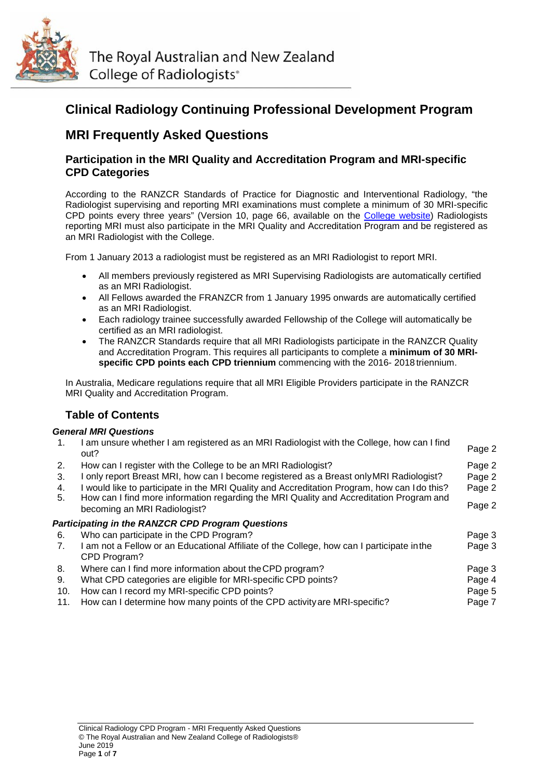

The Royal Australian and New Zealand College of Radiologists<sup>®</sup>

# **Clinical Radiology Continuing Professional Development Program**

# **MRI Frequently Asked Questions**

# **Participation in the MRI Quality and Accreditation Program and MRI-specific CPD Categories**

According to the RANZCR Standards of Practice for Diagnostic and Interventional Radiology, "the Radiologist supervising and reporting MRI examinations must complete a minimum of 30 MRI-specific CPD points every three years" (Version 10, page 66, available on the [College website\)](https://www.ranzcr.com/documents/510-ranzcr-standards-of-practice-for-diagnostic-and-interventional-radiology/file) Radiologists reporting MRI must also participate in the MRI Quality and Accreditation Program and be registered as an MRI Radiologist with the College.

From 1 January 2013 a radiologist must be registered as an MRI Radiologist to report MRI.

- All members previously registered as MRI Supervising Radiologists are automatically certified as an MRI Radiologist.
- All Fellows awarded the FRANZCR from 1 January 1995 onwards are automatically certified as an MRI Radiologist.
- Each radiology trainee successfully awarded Fellowship of the College will automatically be certified as an MRI radiologist.
- The RANZCR Standards require that all MRI Radiologists participate in the RANZCR Quality and Accreditation Program. This requires all participants to complete a **minimum of 30 MRIspecific CPD points each CPD triennium** commencing with the 2016- 2018 triennium.

In Australia, Medicare regulations require that all MRI Eligible Providers participate in the RANZCR MRI Quality and Accreditation Program.

# **Table of Contents**

# *General MRI Questions*

| $\mathbf{1}$ . | I am unsure whether I am registered as an MRI Radiologist with the College, how can I find<br>out?                                                                                      | Page 2 |
|----------------|-----------------------------------------------------------------------------------------------------------------------------------------------------------------------------------------|--------|
| 2.             | How can I register with the College to be an MRI Radiologist?                                                                                                                           | Page 2 |
| 3.             | I only report Breast MRI, how can I become registered as a Breast only MRI Radiologist?                                                                                                 | Page 2 |
| 4.<br>5.       | I would like to participate in the MRI Quality and Accreditation Program, how can I do this?<br>How can I find more information regarding the MRI Quality and Accreditation Program and | Page 2 |
|                | becoming an MRI Radiologist?                                                                                                                                                            | Page 2 |
|                | <b>Participating in the RANZCR CPD Program Questions</b>                                                                                                                                |        |
| 6.             | Who can participate in the CPD Program?                                                                                                                                                 | Page 3 |
| 7.             | I am not a Fellow or an Educational Affiliate of the College, how can I participate in the<br>CPD Program?                                                                              | Page 3 |
| 8.             | Where can I find more information about the CPD program?                                                                                                                                | Page 3 |
| 9.             | What CPD categories are eligible for MRI-specific CPD points?                                                                                                                           | Page 4 |
| 10.            | How can I record my MRI-specific CPD points?                                                                                                                                            | Page 5 |
| 11.            | How can I determine how many points of the CPD activity are MRI-specific?                                                                                                               | Page 7 |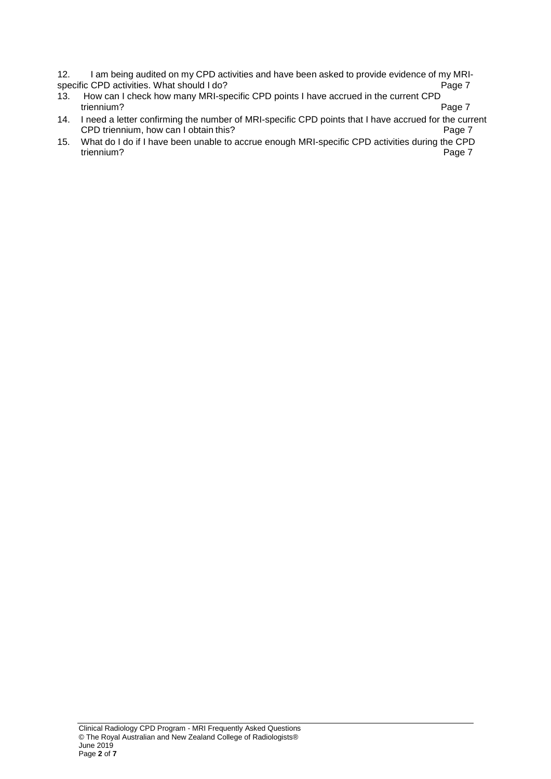12. I am being audited on my CPD activities and have been asked to provide evidence of my MRI-<br>Page 7 specific CPD activities. What should I do?<br>13. How can I check how many MRI-sp

- How can I check how many MRI-specific CPD points I have accrued in the current CPD<br>Fage 7 triennium? Page 7
- 14. I need a letter confirming the number of MRI-specific CPD points that I have accrued for the current<br>CPD triennium, how can I obtain this? CPD triennium, how can I obtain this?
- 15. What do I do if I have been unable to accrue enough MRI-specific CPD activities during the CPD triennium? Page 7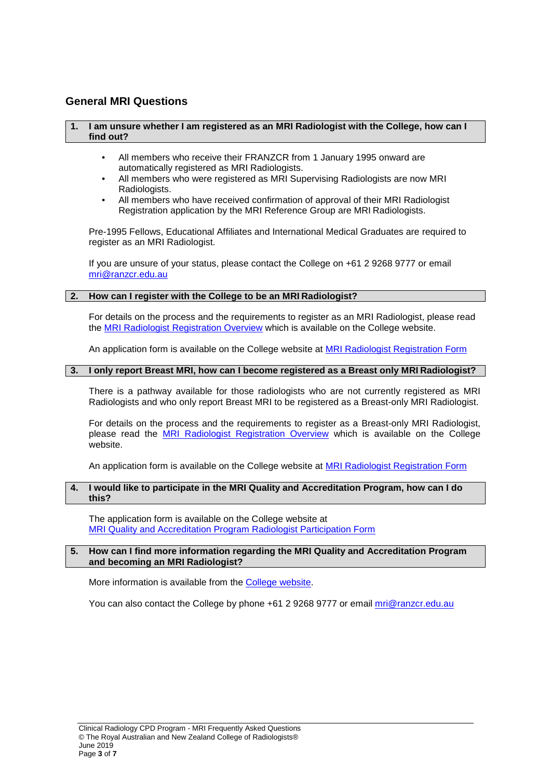# **General MRI Questions**

#### **1. I am unsure whether I am registered as an MRI Radiologist with the College, how can I find out?**

- All members who receive their FRANZCR from 1 January 1995 onward are automatically registered as MRI Radiologists.
- All members who were registered as MRI Supervising Radiologists are now MRI Radiologists.
- All members who have received confirmation of approval of their MRI Radiologist Registration application by the MRI Reference Group are MRI Radiologists.

Pre-1995 Fellows, Educational Affiliates and International Medical Graduates are required to register as an MRI Radiologist.

If you are unsure of your status, please contact the College on +61 2 9268 9777 or email [mri@ranzcr.edu.au](mailto:mri@ranzcr.edu.au)

#### **2. How can I register with the College to be an MRI Radiologist?**

For details on the process and the requirements to register as an MRI Radiologist, please read the [MRI Radiologist Registration Overview](https://www.ranzcr.com/documents/1871-mr-radiologist-registration-overview/file) which is available on the College website.

An application form is available on the College website at **MRI Radiologist Registration Form** 

# **3. I only report Breast MRI, how can I become registered as a Breast only MRI Radiologist?**

There is a pathway available for those radiologists who are not currently registered as MRI Radiologists and who only report Breast MRI to be registered as a Breast-only MRI Radiologist.

For details on the process and the requirements to register as a Breast-only MRI Radiologist, please read the [MRI Radiologist Registration Overview](https://www.ranzcr.com/documents/1871-mr-radiologist-registration-overview/file) which is available on the College website.

An application form is available on the College website at [MRI Radiologist Registration Form](https://www.ranzcr.com/documents/1870-mri-system-registration-form/file)

#### **4. I would like to participate in the MRI Quality and Accreditation Program, how can I do this?**

The application form is available on the College website at [MRI Quality and Accreditation Program Radiologist Participation Form](https://www.ranzcr.com/documents/1872-mri-quality-and-accreditation-program-radiologist-participation-form/file)

#### **5. How can I find more information regarding the MRI Quality and Accreditation Program and becoming an MRI Radiologist?**

More information is available from the [College website.](https://www.ranzcr.com/fellows/clinical-radiology/quality-assurance-and-accreditation/mri)

You can also contact the College by phone +61 2 9268 9777 or email [mri@ranzcr.edu.au](mailto:mri@ranzcr.edu.au)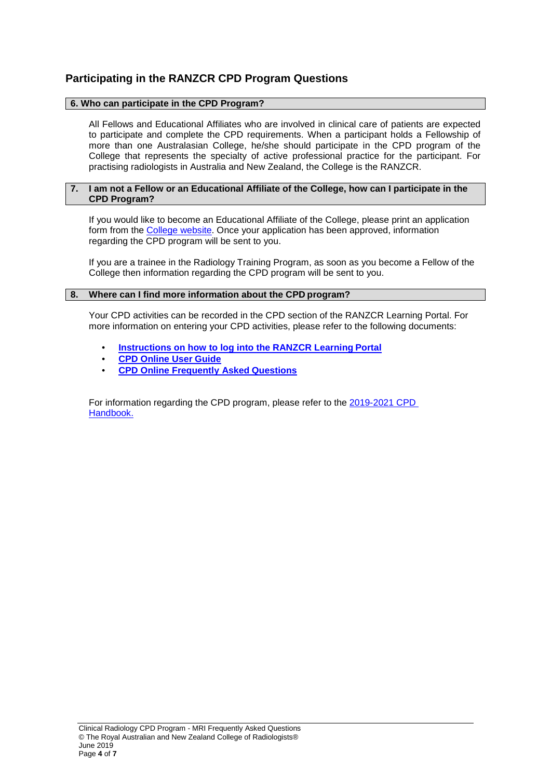# **Participating in the RANZCR CPD Program Questions**

## **6. Who can participate in the CPD Program?**

All Fellows and Educational Affiliates who are involved in clinical care of patients are expected to participate and complete the CPD requirements. When a participant holds a Fellowship of more than one Australasian College, he/she should participate in the CPD program of the College that represents the specialty of active professional practice for the participant. For practising radiologists in Australia and New Zealand, the College is the RANZCR.

#### **7. I am not a Fellow or an Educational Affiliate of the College, how can I participate in the CPD Program?**

If you would like to become an Educational Affiliate of the College, please print an application form from the [College website.](https://www.ranzcr.com/documents/4564-educational-affiliate-application-form-1/file) Once your application has been approved, information regarding the CPD program will be sent to you.

If you are a trainee in the Radiology Training Program, as soon as you become a Fellow of the College then information regarding the CPD program will be sent to you.

#### **8. Where can I find more information about the CPD program?**

Your CPD activities can be recorded in the CPD section of the RANZCR Learning Portal. For more information on entering your CPD activities, please refer to the following documents:

- **[Instructions on how to log into the RANZCR Learning](https://www.ranzcr.com/documents/1946-lp-login-instructions/file) Portal**
- **[CPD Online User](https://www.ranzcr.com/documents/1679-cpd-online-user-guide-oct-2016/file) Guide**
- **[CPD Online Frequently Asked](https://www.ranzcr.com/documents/1680-cpd-online-faqs-oct-2016/file) Questions**

For information regarding the CPD program, please refer to the [2019-2021](https://www.ranzcr.com/documents/4774-2019-2021-ra-cpd-handbook/file) CPD [Handbook.](https://www.ranzcr.com/documents/4774-2019-2021-ra-cpd-handbook/file)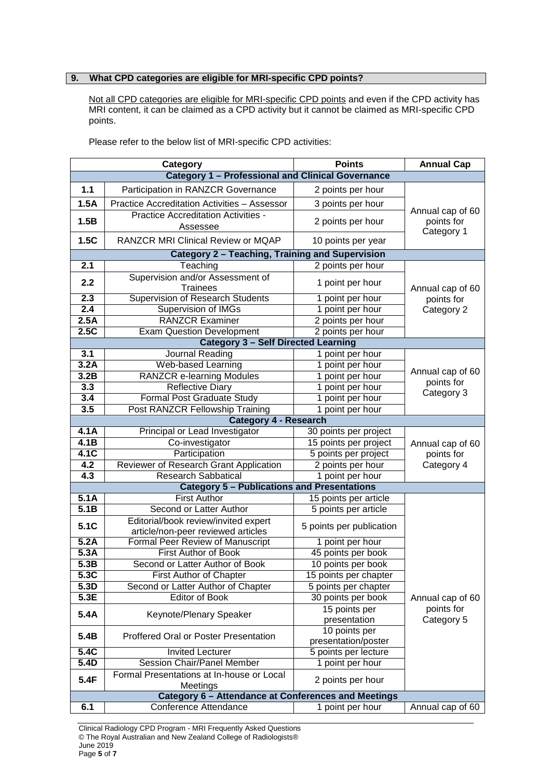# **9. What CPD categories are eligible for MRI-specific CPD points?**

Not all CPD categories are eligible for MRI-specific CPD points and even if the CPD activity has MRI content, it can be claimed as a CPD activity but it cannot be claimed as MRI-specific CPD points.

| Category                                                 |                                                                            | <b>Points</b>                        | <b>Annual Cap</b>              |  |  |
|----------------------------------------------------------|----------------------------------------------------------------------------|--------------------------------------|--------------------------------|--|--|
| <b>Category 1 - Professional and Clinical Governance</b> |                                                                            |                                      |                                |  |  |
| 1.1                                                      | Participation in RANZCR Governance                                         | 2 points per hour                    |                                |  |  |
| 1.5A                                                     | Practice Accreditation Activities - Assessor                               | 3 points per hour                    |                                |  |  |
| 1.5B                                                     | <b>Practice Accreditation Activities -</b>                                 | 2 points per hour                    | Annual cap of 60<br>points for |  |  |
|                                                          | Assessee                                                                   |                                      | Category 1                     |  |  |
| 1.5C                                                     | <b>RANZCR MRI Clinical Review or MQAP</b>                                  | 10 points per year                   |                                |  |  |
|                                                          | Category 2 - Teaching, Training and Supervision                            |                                      |                                |  |  |
| 2.1                                                      | Teaching                                                                   | 2 points per hour                    |                                |  |  |
| 2.2                                                      | Supervision and/or Assessment of<br><b>Trainees</b>                        | 1 point per hour                     | Annual cap of 60<br>points for |  |  |
| 2.3                                                      | Supervision of Research Students                                           | 1 point per hour                     |                                |  |  |
| 2.4                                                      | <b>Supervision of IMGs</b>                                                 | 1 point per hour                     | Category 2                     |  |  |
| 2.5A                                                     | <b>RANZCR Examiner</b>                                                     | 2 points per hour                    |                                |  |  |
| 2.5C                                                     | <b>Exam Question Development</b>                                           | 2 points per hour                    |                                |  |  |
|                                                          | <b>Category 3 - Self Directed Learning</b>                                 |                                      |                                |  |  |
| 3.1                                                      | Journal Reading                                                            | 1 point per hour                     |                                |  |  |
| 3.2A                                                     | Web-based Learning                                                         | 1 point per hour                     |                                |  |  |
| 3.2B                                                     | <b>RANZCR e-learning Modules</b>                                           | 1 point per hour                     | Annual cap of 60<br>points for |  |  |
| 3.3                                                      | <b>Reflective Diary</b>                                                    | 1 point per hour                     | Category 3                     |  |  |
| 3.4                                                      | <b>Formal Post Graduate Study</b>                                          | 1 point per hour                     |                                |  |  |
| 3.5                                                      | Post RANZCR Fellowship Training                                            | 1 point per hour                     |                                |  |  |
|                                                          | <b>Category 4 - Research</b>                                               |                                      |                                |  |  |
| 4.1A                                                     | Principal or Lead Investigator                                             | 30 points per project                |                                |  |  |
| 4.1B                                                     | Co-investigator                                                            | 15 points per project                | Annual cap of 60               |  |  |
| 4.1C                                                     | Participation                                                              | 5 points per project                 | points for                     |  |  |
| 4.2                                                      | Reviewer of Research Grant Application                                     | 2 points per hour                    | Category 4                     |  |  |
| 4.3                                                      | <b>Research Sabbatical</b>                                                 | 1 point per hour                     |                                |  |  |
|                                                          | <b>Category 5 - Publications and Presentations</b>                         |                                      |                                |  |  |
| 5.1A                                                     | <b>First Author</b>                                                        | 15 points per article                |                                |  |  |
| 5.1B                                                     | Second or Latter Author                                                    | 5 points per article                 |                                |  |  |
| 5.1C                                                     | Editorial/book review/invited expert<br>article/non-peer reviewed articles | 5 points per publication             |                                |  |  |
| 5.2A                                                     | <b>Formal Peer Review of Manuscript</b>                                    | 1 point per hour                     |                                |  |  |
| 5.3A                                                     | <b>First Author of Book</b>                                                | 45 points per book                   |                                |  |  |
| 5.3B                                                     | Second or Latter Author of Book                                            | 10 points per book                   |                                |  |  |
| 5.3C                                                     | First Author of Chapter                                                    | 15 points per chapter                |                                |  |  |
| 5.3D                                                     | Second or Latter Author of Chapter                                         | 5 points per chapter                 |                                |  |  |
| 5.3E                                                     | <b>Editor of Book</b>                                                      | 30 points per book                   | Annual cap of 60               |  |  |
| 5.4A                                                     | Keynote/Plenary Speaker                                                    | 15 points per                        | points for                     |  |  |
|                                                          |                                                                            | presentation                         | Category 5                     |  |  |
| 5.4B                                                     | Proffered Oral or Poster Presentation                                      | 10 points per<br>presentation/poster |                                |  |  |
| 5.4C                                                     | <b>Invited Lecturer</b>                                                    | 5 points per lecture                 |                                |  |  |
| 5.4D                                                     | <b>Session Chair/Panel Member</b>                                          | 1 point per hour                     |                                |  |  |
| 5.4F                                                     | Formal Presentations at In-house or Local<br>Meetings                      | 2 points per hour                    |                                |  |  |
| Category 6 - Attendance at Conferences and Meetings      |                                                                            |                                      |                                |  |  |
| 6.1                                                      | Conference Attendance                                                      | 1 point per hour                     | Annual cap of 60               |  |  |

Please refer to the below list of MRI-specific CPD activities:

Clinical Radiology CPD Program - MRI Frequently Asked Questions © The Royal Australian and New Zealand College of Radiologists® June 2019 Page **5** of **7**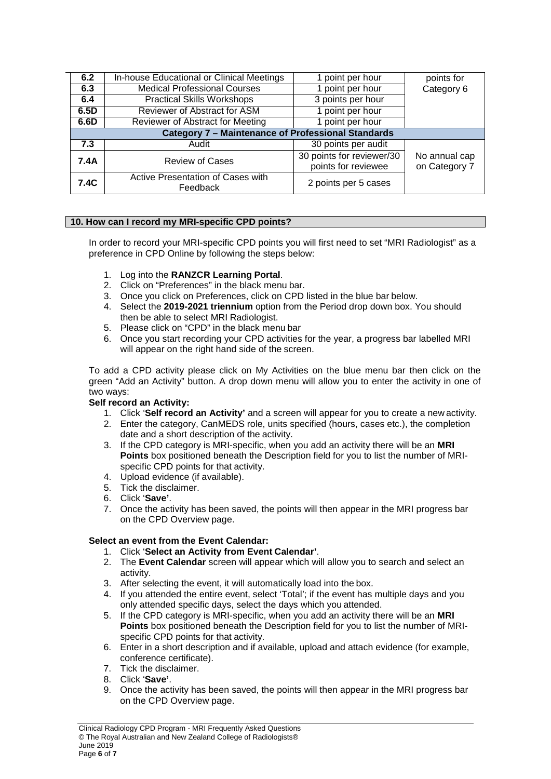| 6.2                                                       | In-house Educational or Clinical Meetings     | 1 point per hour                                 | points for                     |  |  |  |
|-----------------------------------------------------------|-----------------------------------------------|--------------------------------------------------|--------------------------------|--|--|--|
| 6.3                                                       | <b>Medical Professional Courses</b>           | 1 point per hour                                 | Category 6                     |  |  |  |
| 6.4                                                       | <b>Practical Skills Workshops</b>             | 3 points per hour                                |                                |  |  |  |
| 6.5D                                                      | <b>Reviewer of Abstract for ASM</b>           | 1 point per hour                                 |                                |  |  |  |
| 6.6D                                                      | Reviewer of Abstract for Meeting              | 1 point per hour                                 |                                |  |  |  |
| <b>Category 7 - Maintenance of Professional Standards</b> |                                               |                                                  |                                |  |  |  |
| 7.3                                                       | Audit                                         | 30 points per audit                              |                                |  |  |  |
| 7.4A                                                      | <b>Review of Cases</b>                        | 30 points for reviewer/30<br>points for reviewee | No annual cap<br>on Category 7 |  |  |  |
| 7.4C                                                      | Active Presentation of Cases with<br>Feedback | 2 points per 5 cases                             |                                |  |  |  |

# **10. How can I record my MRI-specific CPD points?**

In order to record your MRI-specific CPD points you will first need to set "MRI Radiologist" as a preference in CPD Online by following the steps below:

- 1. Log into the **RANZCR Learning Portal**.
- 2. Click on "Preferences" in the black menu bar.
- 3. Once you click on Preferences, click on CPD listed in the blue bar below.
- 4. Select the **2019-2021 triennium** option from the Period drop down box. You should then be able to select MRI Radiologist.
- 5. Please click on "CPD" in the black menu bar
- 6. Once you start recording your CPD activities for the year, a progress bar labelled MRI will appear on the right hand side of the screen.

To add a CPD activity please click on My Activities on the blue menu bar then click on the green "Add an Activity" button. A drop down menu will allow you to enter the activity in one of two ways:

## **Self record an Activity:**

- 1. Click '**Self record an Activity'** and a screen will appear for you to create a new activity.
- 2. Enter the category, CanMEDS role, units specified (hours, cases etc.), the completion date and a short description of the activity.
- 3. If the CPD category is MRI-specific, when you add an activity there will be an **MRI Points** box positioned beneath the Description field for you to list the number of MRIspecific CPD points for that activity.
- 4. Upload evidence (if available).
- 5. Tick the disclaimer.
- 6. Click '**Save'**.
- 7. Once the activity has been saved, the points will then appear in the MRI progress bar on the CPD Overview page.

## **Select an event from the Event Calendar:**

## 1. Click '**Select an Activity from Event Calendar'**.

- 2. The **Event Calendar** screen will appear which will allow you to search and select an activity.
- 3. After selecting the event, it will automatically load into the box.
- 4. If you attended the entire event, select 'Total'; if the event has multiple days and you only attended specific days, select the days which you attended.
- 5. If the CPD category is MRI-specific, when you add an activity there will be an **MRI Points** box positioned beneath the Description field for you to list the number of MRIspecific CPD points for that activity.
- 6. Enter in a short description and if available, upload and attach evidence (for example, conference certificate).
- 7. Tick the disclaimer.
- 8. Click '**Save'**.
- 9. Once the activity has been saved, the points will then appear in the MRI progress bar on the CPD Overview page.